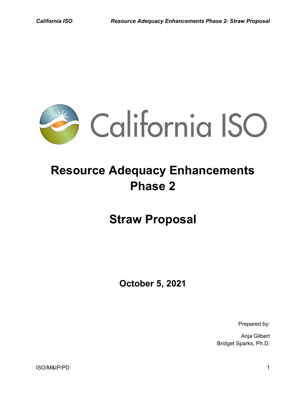

# **Resource Adequacy Enhancements Phase 2**

**Straw Proposal**

**October 5, 2021**

Prepared by:

Anja Gilbert Bridget Sparks, Ph.D.

ISO/M&IP/PD 1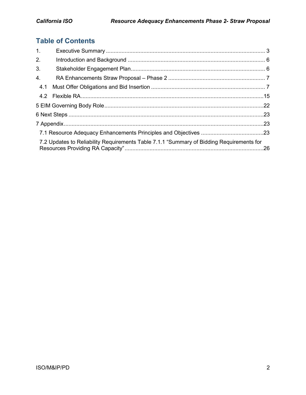# **Table of Contents**

| 1.                                                                                       |  |  |  |  |  |
|------------------------------------------------------------------------------------------|--|--|--|--|--|
| 2.                                                                                       |  |  |  |  |  |
| 3.                                                                                       |  |  |  |  |  |
| 4.                                                                                       |  |  |  |  |  |
| 4.1                                                                                      |  |  |  |  |  |
|                                                                                          |  |  |  |  |  |
|                                                                                          |  |  |  |  |  |
|                                                                                          |  |  |  |  |  |
|                                                                                          |  |  |  |  |  |
|                                                                                          |  |  |  |  |  |
| 7.2 Updates to Reliability Requirements Table 7.1.1 "Summary of Bidding Requirements for |  |  |  |  |  |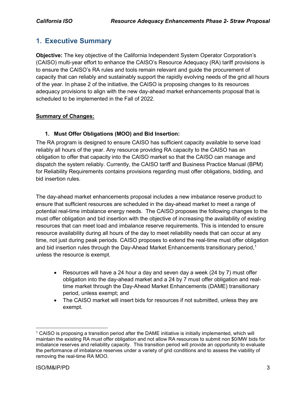# <span id="page-2-0"></span>**1. Executive Summary**

**Objective:** The key objective of the California Independent System Operator Corporation's (CAISO) multi-year effort to enhance the CAISO's Resource Adequacy (RA) tariff provisions is to ensure the CAISO's RA rules and tools remain relevant and guide the procurement of capacity that can reliably and sustainably support the rapidly evolving needs of the grid all hours of the year. In phase 2 of the initiative, the CAISO is proposing changes to its resources adequacy provisions to align with the new day-ahead market enhancements proposal that is scheduled to be implemented in the Fall of 2022.

#### **Summary of Changes:**

#### **1. Must Offer Obligations (MOO) and Bid Insertion:**

The RA program is designed to ensure CAISO has sufficient capacity available to serve load reliably all hours of the year. Any resource providing RA capacity to the CAISO has an obligation to offer that capacity into the CAISO market so that the CAISO can manage and dispatch the system reliably. Currently, the CAISO tariff and Business Practice Manual (BPM) for Reliability Requirements contains provisions regarding must offer obligations, bidding, and bid insertion rules.

The day-ahead market enhancements proposal includes a new imbalance reserve product to ensure that sufficient resources are scheduled in the day-ahead market to meet a range of potential real-time imbalance energy needs. The CAISO proposes the following changes to the must offer obligation and bid insertion with the objective of increasing the availability of existing resources that can meet load and imbalance reserve requirements. This is intended to ensure resource availability during all hours of the day to meet reliability needs that can occur at any time, not just during peak periods. CAISO proposes to extend the real-time must offer obligation and bid insertion rules through the Day-Ahead Market Enhancements transitionary period.<sup>[1](#page-2-1)</sup> unless the resource is exempt.

- Resources will have a 24 hour a day and seven day a week (24 by 7) must offer obligation into the day-ahead market and a 24 by 7 must offer obligation and realtime market through the Day-Ahead Market Enhancements (DAME) transitionary period, unless exempt; and
- The CAISO market will insert bids for resources if not submitted, unless they are exempt.

<span id="page-2-1"></span> <sup>1</sup> CAISO is proposing a transition period after the DAME initiative is initially implemented, which will maintain the existing RA must offer obligation and not allow RA resources to submit non \$0/MW bids for imbalance reserves and reliability capacity. This transition period will provide an opportunity to evaluate the performance of imbalance reserves under a variety of grid conditions and to assess the viability of removing the real-time RA MOO.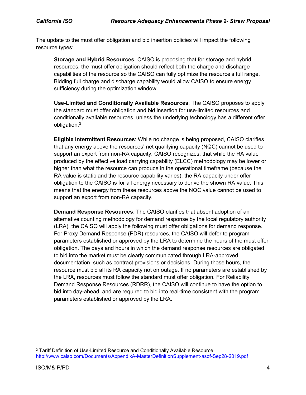The update to the must offer obligation and bid insertion policies will impact the following resource types:

**Storage and Hybrid Resources**: CAISO is proposing that for storage and hybrid resources, the must offer obligation should reflect both the charge and discharge capabilities of the resource so the CAISO can fully optimize the resource's full range. Bidding full charge and discharge capability would allow CAISO to ensure energy sufficiency during the optimization window.

**Use-Limited and Conditionally Available Resources**: The CAISO proposes to apply the standard must offer obligation and bid insertion for use-limited resources and conditionally available resources, unless the underlying technology has a different offer obligation. [2](#page-3-0)

**Eligible Intermittent Resources**: While no change is being proposed, CAISO clarifies that any energy above the resources' net qualifying capacity (NQC) cannot be used to support an export from non-RA capacity. CAISO recognizes, that while the RA value produced by the effective load carrying capability (ELCC) methodology may be lower or higher than what the resource can produce in the operational timeframe (because the RA value is static and the resource capability varies), the RA capacity under offer obligation to the CAISO is for all energy necessary to derive the shown RA value. This means that the energy from these resources above the NQC value cannot be used to support an export from non-RA capacity.

**Demand Response Resources**: The CAISO clarifies that absent adoption of an alternative counting methodology for demand response by the local regulatory authority (LRA), the CAISO will apply the following must offer obligations for demand response. For Proxy Demand Response (PDR) resources, the CAISO will defer to program parameters established or approved by the LRA to determine the hours of the must offer obligation. The days and hours in which the demand response resources are obligated to bid into the market must be clearly communicated through LRA-approved documentation, such as contract provisions or decisions. During those hours, the resource must bid all its RA capacity not on outage. If no parameters are established by the LRA, resources must follow the standard must offer obligation. For Reliability Demand Response Resources (RDRR), the CAISO will continue to have the option to bid into day-ahead, and are required to bid into real-time consistent with the program parameters established or approved by the LRA.

<span id="page-3-0"></span> <sup>2</sup> Tariff Definition of Use-Limited Resource and Conditionally Available Resource: <http://www.caiso.com/Documents/AppendixA-MasterDefinitionSupplement-asof-Sep28-2019.pdf>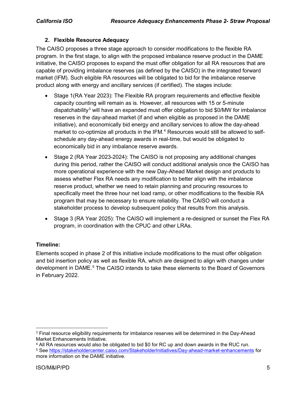#### **2. Flexible Resource Adequacy**

The CAISO proposes a three stage approach to consider modifications to the flexible RA program. In the first stage, to align with the proposed imbalance reserve product in the DAME initiative, the CAISO proposes to expand the must offer obligation for all RA resources that are capable of providing imbalance reserves (as defined by the CAISO) in the integrated forward market (IFM). Such eligible RA resources will be obligated to bid for the imbalance reserve product along with energy and ancillary services (if certified). The stages include:

- Stage 1(RA Year 2023): The Flexible RA program requirements and effective flexible capacity counting will remain as is. However, all resources with 15 or 5-minute dispatchability<sup>[3](#page-4-0)</sup> will have an expanded must offer obligation to bid \$0/MW for imbalance reserves in the day-ahead market (if and when eligible as proposed in the DAME initiative), and economically bid energy and ancillary services to allow the day-ahead market to co-optimize all products in the IFM.<sup>[4](#page-4-1)</sup> Resources would still be allowed to selfschedule any day-ahead energy awards in real-time, but would be obligated to economically bid in any imbalance reserve awards.
- Stage 2 (RA Year 2023-2024): The CAISO is not proposing any additional changes during this period, rather the CAISO will conduct additional analysis once the CAISO has more operational experience with the new Day-Ahead Market design and products to assess whether Flex RA needs any modification to better align with the imbalance reserve product, whether we need to retain planning and procuring resources to specifically meet the three hour net load ramp, or other modifications to the flexible RA program that may be necessary to ensure reliability. The CAISO will conduct a stakeholder process to develop subsequent policy that results from this analysis.
- Stage 3 (RA Year 2025): The CAISO will implement a re-designed or sunset the Flex RA program, in coordination with the CPUC and other LRAs.

#### **Timeline:**

Elements scoped in phase 2 of this initiative include modifications to the must offer obligation and bid insertion policy as well as flexible RA, which are designed to align with changes under development in DAME. [5](#page-4-2) The CAISO intends to take these elements to the Board of Governors in February 2022.

<span id="page-4-0"></span><sup>&</sup>lt;sup>3</sup> Final resource eligibility requirements for imbalance reserves will be determined in the Day-Ahead Market Enhancements Initiative.

<span id="page-4-1"></span><sup>4</sup> All RA resources would also be obligated to bid \$0 for RC up and down awards in the RUC run.

<span id="page-4-2"></span><sup>5</sup> See<https://stakeholdercenter.caiso.com/StakeholderInitiatives/Day-ahead-market-enhancements> for more information on the DAME initiative.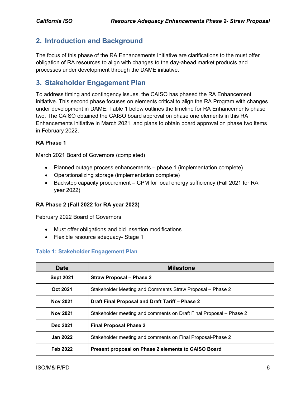# <span id="page-5-0"></span>**2. Introduction and Background**

The focus of this phase of the RA Enhancements Initiative are clarifications to the must offer obligation of RA resources to align with changes to the day-ahead market products and processes under development through the DAME initiative.

# <span id="page-5-1"></span>**3. Stakeholder Engagement Plan**

To address timing and contingency issues, the CAISO has phased the RA Enhancement initiative. This second phase focuses on elements critical to align the RA Program with changes under development in DAME. Table 1 below outlines the timeline for RA Enhancements phase two. The CAISO obtained the CAISO board approval on phase one elements in this RA Enhancements initiative in March 2021, and plans to obtain board approval on phase two items in February 2022.

#### **RA Phase 1**

March 2021 Board of Governors (completed)

- Planned outage process enhancements phase 1 (implementation complete)
- Operationalizing storage (implementation complete)
- Backstop capacity procurement CPM for local energy sufficiency (Fall 2021 for RA year 2022)

#### **RA Phase 2 (Fall 2022 for RA year 2023)**

February 2022 Board of Governors

- Must offer obligations and bid insertion modifications
- Flexible resource adequacy- Stage 1

#### **Table 1: Stakeholder Engagement Plan**

| <b>Date</b>      | <b>Milestone</b>                                                   |  |  |  |
|------------------|--------------------------------------------------------------------|--|--|--|
| <b>Sept 2021</b> | <b>Straw Proposal – Phase 2</b>                                    |  |  |  |
| Oct 2021         | Stakeholder Meeting and Comments Straw Proposal – Phase 2          |  |  |  |
| <b>Nov 2021</b>  | Draft Final Proposal and Draft Tariff – Phase 2                    |  |  |  |
| <b>Nov 2021</b>  | Stakeholder meeting and comments on Draft Final Proposal – Phase 2 |  |  |  |
| Dec 2021         | <b>Final Proposal Phase 2</b>                                      |  |  |  |
| <b>Jan 2022</b>  | Stakeholder meeting and comments on Final Proposal-Phase 2         |  |  |  |
| Feb 2022         | Present proposal on Phase 2 elements to CAISO Board                |  |  |  |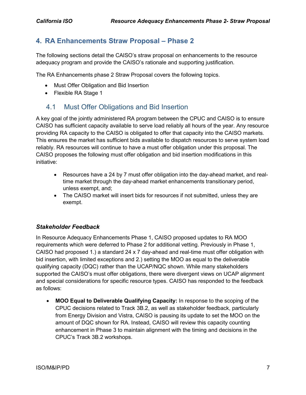## <span id="page-6-0"></span>**4. RA Enhancements Straw Proposal – Phase 2**

The following sections detail the CAISO's straw proposal on enhancements to the resource adequacy program and provide the CAISO's rationale and supporting justification.

The RA Enhancements phase 2 Straw Proposal covers the following topics.

- Must Offer Obligation and Bid Insertion
- Flexible RA Stage 1

## <span id="page-6-1"></span>4.1 Must Offer Obligations and Bid Insertion

A key goal of the jointly administered RA program between the CPUC and CAISO is to ensure CAISO has sufficient capacity available to serve load reliably all hours of the year. Any resource providing RA capacity to the CAISO is obligated to offer that capacity into the CAISO markets. This ensures the market has sufficient bids available to dispatch resources to serve system load reliably. RA resources will continue to have a must offer obligation under this proposal. The CAISO proposes the following must offer obligation and bid insertion modifications in this initiative:

- Resources have a 24 by 7 must offer obligation into the day-ahead market, and realtime market through the day-ahead market enhancements transitionary period, unless exempt, and;
- The CAISO market will insert bids for resources if not submitted, unless they are exempt.

#### *Stakeholder Feedback*

In Resource Adequacy Enhancements Phase 1, CAISO proposed updates to RA MOO requirements which were deferred to Phase 2 for additional vetting. Previously in Phase 1, CAISO had proposed 1.) a standard 24 x 7 day-ahead and real-time must offer obligation with bid insertion, with limited exceptions and 2.) setting the MOO as equal to the deliverable qualifying capacity (DQC) rather than the UCAP/NQC shown. While many stakeholders supported the CAISO's must offer obligations, there were divergent views on UCAP alignment and special considerations for specific resource types. CAISO has responded to the feedback as follows:

• **MOO Equal to Deliverable Qualifying Capacity:** In response to the scoping of the CPUC decisions related to Track 3B.2, as well as stakeholder feedback, particularly from Energy Division and Vistra, CAISO is pausing its update to set the MOO on the amount of DQC shown for RA. Instead, CAISO will review this capacity counting enhancement in Phase 3 to maintain alignment with the timing and decisions in the CPUC's Track 3B.2 workshops.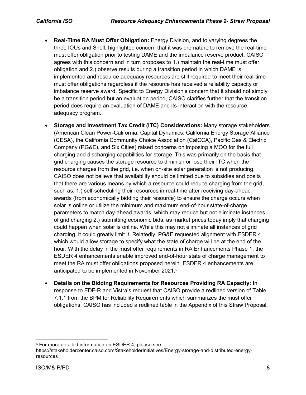- **Real-Time RA Must Offer Obligation:** Energy Division, and to varying degrees the three IOUs and Shell, highlighted concern that it was premature to remove the real-time must offer obligation prior to testing DAME and the imbalance reserve product. CAISO agrees with this concern and in turn proposes to 1.) maintain the real-time must offer obligation and 2.) observe results during a transition period in which DAME is implemented and resource adequacy resources are still required to meet their real-time must offer obligations regardless if the resource has received a reliability capacity or imbalance reserve award. Specific to Energy Division's concern that it should not simply be a transition period but an evaluation period, CAISO clarifies further that the transition period does require an evaluation of DAME and its interaction with the resource adequacy program.
- **Storage and Investment Tax Credit (ITC) Considerations:** Many storage stakeholders (American Clean Power-California, Capital Dynamics, California Energy Storage Alliance (CESA), the California Community Choice Association (CalCCA), Pacific Gas & Electric Company (PG&E), and Six Cities) raised concerns on imposing a MOO for the full charging and discharging capabilities for storage. This was primarily on the basis that grid charging causes the storage resource to diminish or lose their ITC when the resource charges from the grid, i.e. when on-site solar generation is not producing. CAISO does not believe that availability should be limited due to subsidies and posits that there are various means by which a resource could reduce charging from the grid, such as: 1.) self-scheduling their resources in real-time after receiving day-ahead awards (from economically bidding their resource) to ensure the charge occurs when solar is online or utilize the minimum and maximum end-of-hour state-of-charge parameters to match day-ahead awards, which may reduce but not eliminate instances of grid charging 2.) submitting economic bids, as market prices today imply that charging could happen when solar is online. While this may not eliminate all instances of grid charging, it could greatly limit it. Relatedly, PG&E requested alignment with ESDER 4, which would allow storage to specify what the state of charge will be at the end of the hour. With the delay in the must offer requirements in RA Enhancements Phase 1, the ESDER 4 enhancements enable improved end-of-hour state of charge management to meet the RA must offer obligations proposed herein. ESDER 4 enhancements are anticipated to be implemented in November 2021.<sup>[6](#page-7-0)</sup>
- **Details on the Bidding Requirements for Resources Providing RA Capacity:** In response to EDF-R and Vistra's request that CAISO provide a redlined version of Table 7.1.1 from the BPM for Reliability Requirements which summarizes the must offer obligations, CAISO has included a redlined table in the Appendix of this Straw Proposal.

<span id="page-7-0"></span> <sup>6</sup> For more detailed information on ESDER 4, please see:

https://stakeholdercenter.caiso.com/StakeholderInitiatives/Energy-storage-and-distributed-energyresources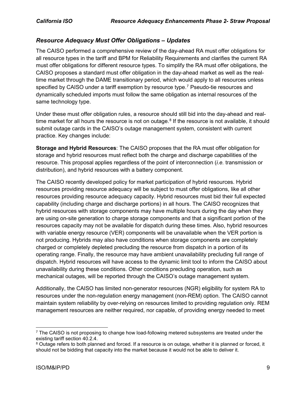#### *Resource Adequacy Must Offer Obligations – Updates*

The CAISO performed a comprehensive review of the day-ahead RA must offer obligations for all resource types in the tariff and BPM for Reliability Requirements and clarifies the current RA must offer obligations for different resource types. To simplify the RA must offer obligations, the CAISO proposes a standard must offer obligation in the day-ahead market as well as the realtime market through the DAME transitionary period, which would apply to all resources unless specified by CAISO under a tariff exemption by resource type.<sup>[7](#page-8-0)</sup> Pseudo-tie resources and dynamically scheduled imports must follow the same obligation as internal resources of the same technology type.

Under these must offer obligation rules, a resource should still bid into the day-ahead and realtime market for all hours the resource is not on outage. $8$  If the resource is not available, it should submit outage cards in the CAISO's outage management system, consistent with current practice. Key changes include:

**Storage and Hybrid Resources**: The CAISO proposes that the RA must offer obligation for storage and hybrid resources must reflect both the charge and discharge capabilities of the resource. This proposal applies regardless of the point of interconnection (*i.e.* transmission or distribution), and hybrid resources with a battery component.

The CAISO recently developed policy for market participation of hybrid resources. Hybrid resources providing resource adequacy will be subject to must offer obligations, like all other resources providing resource adequacy capacity. Hybrid resources must bid their full expected capability (including charge and discharge portions) in all hours. The CAISO recognizes that hybrid resources with storage components may have multiple hours during the day when they are using on-site generation to charge storage components and that a significant portion of the resources capacity may not be available for dispatch during these times. Also, hybrid resources with variable energy resource (VER) components will be unavailable when the VER portion is not producing. Hybrids may also have conditions when storage components are completely charged or completely depleted precluding the resource from dispatch in a portion of its operating range. Finally, the resource may have ambient unavailability precluding full range of dispatch. Hybrid resources will have access to the dynamic limit tool to inform the CAISO about unavailability during these conditions. Other conditions precluding operation, such as mechanical outages, will be reported through the CAISO's outage management system.

Additionally, the CAISO has limited non-generator resources (NGR) eligibility for system RA to resources under the non-regulation energy management (non-REM) option. The CAISO cannot maintain system reliability by over-relying on resources limited to providing regulation only. REM management resources are neither required, nor capable, of providing energy needed to meet

<span id="page-8-0"></span> $7$  The CAISO is not proposing to change how load-following metered subsystems are treated under the existing tariff section 40.2.4.

<span id="page-8-1"></span><sup>8</sup> Outage refers to both planned and forced. If a resource is on outage, whether it is planned or forced, it should not be bidding that capacity into the market because it would not be able to deliver it.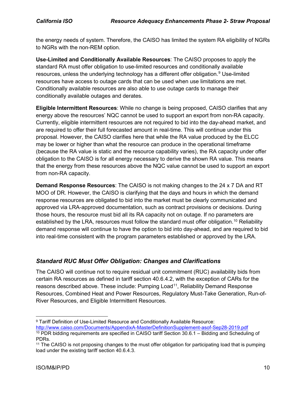the energy needs of system. Therefore, the CAISO has limited the system RA eligibility of NGRs to NGRs with the non-REM option.

**Use-Limited and Conditionally Available Resources**: The CAISO proposes to apply the standard RA must offer obligation to use-limited resources and conditionally available resources, unless the underlying technology has a different offer obligation. [9](#page-9-0) Use-limited resources have access to outage cards that can be used when use limitations are met. Conditionally available resources are also able to use outage cards to manage their conditionally available outages and derates.

**Eligible Intermittent Resources**: While no change is being proposed, CAISO clarifies that any energy above the resources' NQC cannot be used to support an export from non-RA capacity. Currently, eligible intermittent resources are not required to bid into the day-ahead market, and are required to offer their full forecasted amount in real-time. This will continue under this proposal. However, the CAISO clarifies here that while the RA value produced by the ELCC may be lower or higher than what the resource can produce in the operational timeframe (because the RA value is static and the resource capability varies), the RA capacity under offer obligation to the CAISO is for all energy necessary to derive the shown RA value. This means that the energy from these resources above the NQC value cannot be used to support an export from non-RA capacity.

**Demand Response Resources**: The CAISO is not making changes to the 24 x 7 DA and RT MOO of DR. However, the CAISO is clarifying that the days and hours in which the demand response resources are obligated to bid into the market must be clearly communicated and approved via LRA-approved documentation, such as contract provisions or decisions. During those hours, the resource must bid all its RA capacity not on outage. If no parameters are established by the LRA, resources must follow the standard must offer obligation.<sup>[10](#page-9-1)</sup> Reliability demand response will continue to have the option to bid into day-ahead, and are required to bid into real-time consistent with the program parameters established or approved by the LRA.

## *Standard RUC Must Offer Obligation: Changes and Clarifications*

The CAISO will continue not to require residual unit commitment (RUC) availability bids from certain RA resources as defined in tariff section 40.6.4.2, with the exception of CARs for the reasons described above. These include: Pumping Load<sup>11</sup>, Reliability Demand Response Resources, Combined Heat and Power Resources, Regulatory Must-Take Generation, Run-of-River Resources, and Eligible Intermittent Resources.

<span id="page-9-0"></span> <sup>9</sup> Tariff Definition of Use-Limited Resource and Conditionally Available Resource: <http://www.caiso.com/Documents/AppendixA-MasterDefinitionSupplement-asof-Sep28-2019.pdf>

<span id="page-9-1"></span><sup>10</sup> PDR bidding requirements are specified in CAISO tariff Section 30.6.1 – Bidding and Scheduling of PDRs.

<span id="page-9-2"></span><sup>11</sup> The CAISO is not proposing changes to the must offer obligation for participating load that is pumping load under the existing tariff section 40.6.4.3.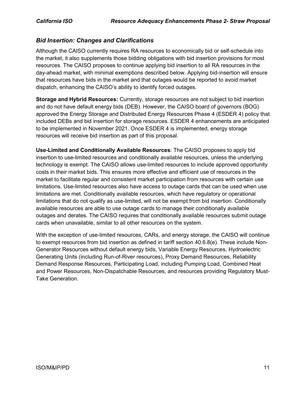#### *Bid Insertion: Changes and Clarifications*

Although the CAISO currently requires RA resources to economically bid or self-schedule into the market, it also supplements those bidding obligations with bid insertion provisions for most resources. The CAISO proposes to continue applying bid insertion to all RA resources in the day-ahead market, with minimal exemptions described below. Applying bid-insertion will ensure that resources have bids in the market and that outages would be reported to avoid market dispatch, enhancing the CAISO's ability to identify forced outages.

**Storage and Hybrid Resources:** Currently, storage resources are not subject to bid insertion and do not have default energy bids (DEB). However, the CAISO board of governors (BOG) approved the Energy Storage and Distributed Energy Resources Phase 4 (ESDER 4) policy that included DEBs and bid insertion for storage resources. ESDER 4 enhancements are anticipated to be implemented in November 2021. Once ESDER 4 is implemented, energy storage resources will receive bid insertion as part of this proposal.

**Use-Limited and Conditionally Available Resources**: The CAISO proposes to apply bid insertion to use-limited resources and conditionally available resources, unless the underlying technology is exempt. The CAISO allows use-limited resources to include approved opportunity costs in their market bids. This ensures more effective and efficient use of resources in the market to facilitate regular and consistent market participation from resources with certain use limitations. Use-limited resources also have access to outage cards that can be used when use limitations are met. Conditionally available resources, which have regulatory or operational limitations that do not qualify as use-limited, will not be exempt from bid insertion. Conditionally available resources are able to use outage cards to manage their conditionally available outages and derates. The CAISO requires that conditionally available resources submit outage cards when unavailable, similar to all other resources on the system.

With the exception of use-limited resources, CARs, and energy storage, the CAISO will continue to exempt resources from bid insertion as defined in tariff section 40.6.8(e). These include Non-Generator Resources without default energy bids, Variable Energy Resources, Hydroelectric Generating Units (including Run-of-River resources), Proxy Demand Resources, Reliability Demand Response Resources, Participating Load, including Pumping Load, Combined Heat and Power Resources, Non-Dispatchable Resources, and resources providing Regulatory Must-Take Generation.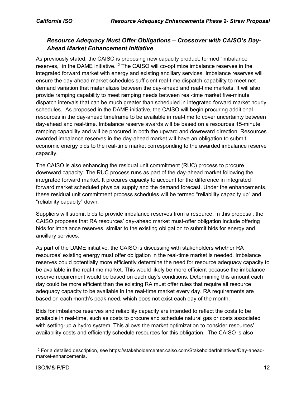## *Resource Adequacy Must Offer Obligations – Crossover with CAISO's Day-Ahead Market Enhancement Initiative*

As previously stated, the CAISO is proposing new capacity product, termed "imbalance reserves," in the DAME initiative.<sup>[12](#page-11-0)</sup> The CAISO will co-optimize imbalance reserves in the integrated forward market with energy and existing ancillary services. Imbalance reserves will ensure the day-ahead market schedules sufficient real-time dispatch capability to meet net demand variation that materializes between the day-ahead and real-time markets. It will also provide ramping capability to meet ramping needs between real-time market five-minute dispatch intervals that can be much greater than scheduled in integrated forward market hourly schedules. As proposed in the DAME initiative, the CAISO will begin procuring additional resources in the day-ahead timeframe to be available in real-time to cover uncertainty between day-ahead and real-time. Imbalance reserve awards will be based on a resources 15-minute ramping capability and will be procured in both the upward and downward direction. Resources awarded imbalance reserves in the day-ahead market will have an obligation to submit economic energy bids to the real-time market corresponding to the awarded imbalance reserve capacity.

The CAISO is also enhancing the residual unit commitment (RUC) process to procure downward capacity. The RUC process runs as part of the day-ahead market following the integrated forward market. It procures capacity to account for the difference in integrated forward market scheduled physical supply and the demand forecast. Under the enhancements, these residual unit commitment process schedules will be termed "reliability capacity up" and "reliability capacity" down.

Suppliers will submit bids to provide imbalance reserves from a resource. In this proposal, the CAISO proposes that RA resources' day-ahead market must-offer obligation include offering bids for imbalance reserves, similar to the existing obligation to submit bids for energy and ancillary services.

As part of the DAME initiative, the CAISO is discussing with stakeholders whether RA resources' existing energy must offer obligation in the real-time market is needed. Imbalance reserves could potentially more efficiently determine the need for resource adequacy capacity to be available in the real-time market. This would likely be more efficient because the imbalance reserve requirement would be based on each day's conditions. Determining this amount each day could be more efficient than the existing RA must offer rules that require all resource adequacy capacity to be available in the real-time market every day. RA requirements are based on each month's peak need, which does not exist each day of the month.

Bids for imbalance reserves and reliability capacity are intended to reflect the costs to be available in real-time, such as costs to procure and schedule natural gas or costs associated with setting-up a hydro system. This allows the market optimization to consider resources' availability costs and efficiently schedule resources for this obligation. The CAISO is also

<span id="page-11-0"></span> <sup>12</sup> For a detailed description, see https://stakeholdercenter.caiso.com/StakeholderInitiatives/Day-aheadmarket-enhancements.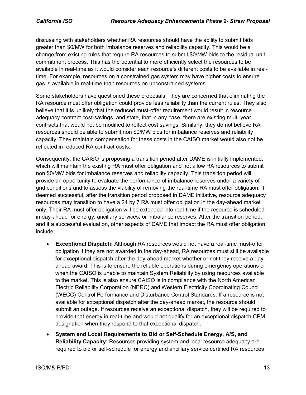discussing with stakeholders whether RA resources should have the ability to submit bids greater than \$0/MW for both imbalance reserves and reliability capacity. This would be a change from existing rules that require RA resources to submit \$0/MW bids to the residual unit commitment process. This has the potential to more efficiently select the resources to be available in real-time as it would consider each resource's different costs to be available in realtime. For example, resources on a constrained gas system may have higher costs to ensure gas is available in real-time than resources on unconstrained systems.

Some stakeholders have questioned these proposals. They are concerned that eliminating the RA resource must offer obligation could provide less reliability than the current rules. They also believe that it is unlikely that the reduced must-offer requirement would result in resource adequacy contract cost-savings, and state, that in any case, there are existing multi-year contracts that would not be modified to reflect cost savings. Similarly, they do not believe RA resources should be able to submit non \$0/MW bids for imbalance reserves and reliability capacity. They maintain compensation for these costs in the CAISO market would also not be reflected in reduced RA contract costs.

Consequently, the CAISO is proposing a transition period after DAME is initially implemented, which will maintain the existing RA must offer obligation and not allow RA resources to submit non \$0/MW bids for imbalance reserves and reliability capacity. This transition period will provide an opportunity to evaluate the performance of imbalance reserves under a variety of grid conditions and to assess the viability of removing the real-time RA must offer obligation. If deemed successful, after the transition period proposed in DAME initiative, resource adequacy resources may transition to have a 24 by 7 RA must offer obligation in the day-ahead market only. Their RA must offer obligation will be extended into real-time if the resource is scheduled in day-ahead for energy, ancillary services, or imbalance reserves. After the transition period, and if a successful evaluation, other aspects of DAME that impact the RA must offer obligation include:

- **Exceptional Dispatch:** Although RA resources would not have a real-time must-offer obligation if they are not awarded in the day-ahead, RA resources must still be available for exceptional dispatch after the day-ahead market whether or not they receive a dayahead award. This is to ensure the reliable operations during emergency operations or when the CAISO is unable to maintain System Reliability by using resources available to the market. This is also ensure CAISO is in compliance with the North American Electric Reliability Corporation (NERC) and Western Electricity Coordinating Council (WECC) Control Performance and Disturbance Control Standards. If a resource is not available for exceptional dispatch after the day-ahead market, the resource should submit an outage. If resources receive an exceptional dispatch, they will be required to provide that energy in real-time and would not qualify for an exceptional dispatch CPM designation when they respond to that exceptional dispatch.
- **System and Local Requirements to Bid or Self-Schedule Energy, A/S, and Reliability Capacity:** Resources providing system and local resource adequacy are required to bid or self-schedule for energy and ancillary service certified RA resources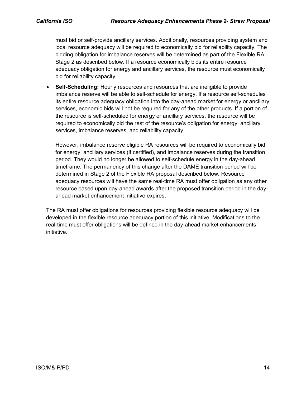must bid or self-provide ancillary services. Additionally, resources providing system and local resource adequacy will be required to economically bid for reliability capacity. The bidding obligation for imbalance reserves will be determined as part of the Flexible RA Stage 2 as described below. If a resource economically bids its entire resource adequacy obligation for energy and ancillary services, the resource must economically bid for reliability capacity.

• **Self-Scheduling:** Hourly resources and resources that are ineligible to provide imbalance reserve will be able to self-schedule for energy. If a resource self-schedules its entire resource adequacy obligation into the day-ahead market for energy or ancillary services, economic bids will not be required for any of the other products. If a portion of the resource is self-scheduled for energy or ancillary services, the resource will be required to economically bid the rest of the resource's obligation for energy, ancillary services, imbalance reserves, and reliability capacity.

However, imbalance reserve eligible RA resources will be required to economically bid for energy, ancillary services (if certified), and imbalance reserves during the transition period. They would no longer be allowed to self-schedule energy in the day-ahead timeframe. The permanency of this change after the DAME transition period will be determined in Stage 2 of the Flexible RA proposal described below. Resource adequacy resources will have the same real-time RA must offer obligation as any other resource based upon day-ahead awards after the proposed transition period in the dayahead market enhancement initiative expires.

The RA must offer obligations for resources providing flexible resource adequacy will be developed in the flexible resource adequacy portion of this initiative. Modifications to the real-time must offer obligations will be defined in the day-ahead market enhancements initiative.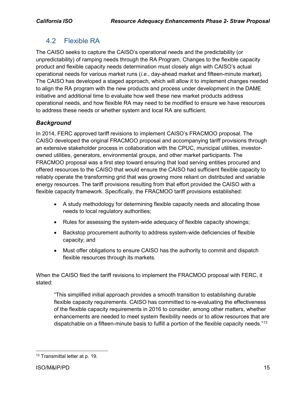# <span id="page-14-0"></span>4.2 Flexible RA

The CAISO seeks to capture the CAISO's operational needs and the predictability (or unpredictability) of ramping needs through the RA Program. Changes to the flexible capacity product and flexible capacity needs determination must closely align with CAISO's actual operational needs for various market runs (*i.e.*, day-ahead market and fifteen-minute market). The CAISO has developed a staged approach, which will allow it to implement changes needed to align the RA program with the new products and process under development in the DAME initiative and additional time to evaluate how well these new market products address operational needs, and how flexible RA may need to be modified to ensure we have resources to address these needs or whether system and local RA are sufficient.

## *Background*

In 2014, FERC approved tariff revisions to implement CAISO's FRACMOO proposal. The CAISO developed the original FRACMOO proposal and accompanying tariff provisions through an extensive stakeholder process in collaboration with the CPUC, municipal utilities, investorowned utilities, generators, environmental groups, and other market participants. The FRACMOO proposal was a first step toward ensuring that load serving entities procured and offered resources to the CAISO that would ensure the CAISO had sufficient flexible capacity to reliably operate the transforming grid that was growing more reliant on distributed and variable energy resources. The tariff provisions resulting from that effort provided the CAISO with a flexible capacity framework. Specifically, the FRACMOO tariff provisions established:

- A study methodology for determining flexible capacity needs and allocating those needs to local regulatory authorities;
- Rules for assessing the system-wide adequacy of flexible capacity showings;
- Backstop procurement authority to address system-wide deficiencies of flexible capacity; and
- Must offer obligations to ensure CAISO has the authority to commit and dispatch flexible resources through its markets.

When the CAISO filed the tariff revisions to implement the FRACMOO proposal with FERC, it stated:

"This simplified initial approach provides a smooth transition to establishing durable flexible capacity requirements. CAISO has committed to re-evaluating the effectiveness of the flexible capacity requirements in 2016 to consider, among other matters, whether enhancements are needed to meet system flexibility needs or to allow resources that are dispatchable on a fifteen-minute basis to fulfill a portion of the flexible capacity needs."<sup>[13](#page-14-1)</sup>

<span id="page-14-1"></span> <sup>13</sup> Transmittal letter at p. 19.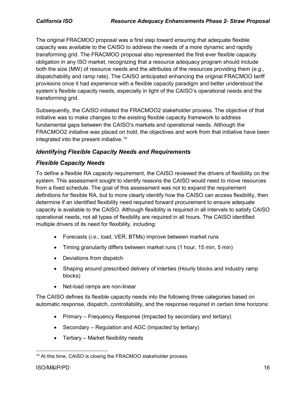The original FRACMOO proposal was a first step toward ensuring that adequate flexible capacity was available to the CAISO to address the needs of a more dynamic and rapidly transforming grid. The FRACMOO proposal also represented the first ever flexible capacity obligation in any ISO market, recognizing that a resource adequacy program should include both the size (MW) of resource needs and the attributes of the resources providing them (*e.g.*, dispatchability and ramp rate). The CAISO anticipated enhancing the original FRACMOO tariff provisions once it had experience with a flexible capacity paradigm and better understood the system's flexible capacity needs, especially in light of the CAISO's operational needs and the transforming grid.

Subsequently, the CAISO initiated the FRACMOO2 stakeholder process. The objective of that initiative was to make changes to the existing flexible capacity framework to address fundamental gaps between the CAISO's markets and operational needs. Although the FRACMOO2 initiative was placed on hold, the objectives and work from that initiative have been integrated into the present initiative.<sup>14</sup>

## *Identifying Flexible Capacity Needs and Requirements*

## *Flexible Capacity Needs*

To define a flexible RA capacity requirement, the CAISO reviewed the drivers of flexibility on the system. This assessment sought to identify reasons the CAISO would need to move resources from a fixed schedule. The goal of this assessment was not to expand the requirement definitions for flexible RA, but to more clearly identify how the CAISO can access flexibility, then determine if an identified flexibility need required forward procurement to ensure adequate capacity is available to the CAISO. Although flexibility is required in all intervals to satisfy CAISO operational needs, not all types of flexibility are required in all hours. The CAISO identified multiple drivers of its need for flexibility, including:

- Forecasts (*i.e.*, load, VER, BTMs) improve between market runs
- Timing granularity differs between market runs (1 hour, 15 min, 5 min)
- Deviations from dispatch
- Shaping around prescribed delivery of interties (Hourly blocks and industry ramp blocks)
- Net-load ramps are non-linear

The CAISO defines its flexible capacity needs into the following three categories based on automatic response, dispatch, controllability, and the response required in certain time horizons:

- Primary Frequency Response (Impacted by secondary and tertiary)
- Secondary Regulation and AGC (Impacted by tertiary)
- Tertiary Market flexibility needs

<span id="page-15-0"></span><sup>&</sup>lt;sup>14</sup> At this time, CAISO is closing the FRACMOO stakeholder process.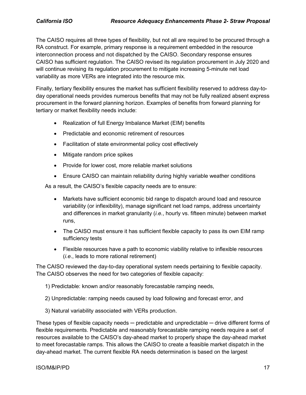The CAISO requires all three types of flexibility, but not all are required to be procured through a RA construct. For example, primary response is a requirement embedded in the resource interconnection process and not dispatched by the CAISO. Secondary response ensures CAISO has sufficient regulation. The CAISO revised its regulation procurement in July 2020 and will continue revising its regulation procurement to mitigate increasing 5-minute net load variability as more VERs are integrated into the resource mix.

Finally, tertiary flexibility ensures the market has sufficient flexibility reserved to address day-today operational needs provides numerous benefits that may not be fully realized absent express procurement in the forward planning horizon. Examples of benefits from forward planning for tertiary or market flexibility needs include:

- Realization of full Energy Imbalance Market (EIM) benefits
- Predictable and economic retirement of resources
- Facilitation of state environmental policy cost effectively
- Mitigate random price spikes
- Provide for lower cost, more reliable market solutions
- Ensure CAISO can maintain reliability during highly variable weather conditions

As a result, the CAISO's flexible capacity needs are to ensure:

- Markets have sufficient economic bid range to dispatch around load and resource variability (or inflexibility), manage significant net load ramps, address uncertainty and differences in market granularity (*i.e.*, hourly vs. fifteen minute) between market runs,
- The CAISO must ensure it has sufficient flexible capacity to pass its own EIM ramp sufficiency tests
- Flexible resources have a path to economic viability relative to inflexible resources (*i.e*., leads to more rational retirement)

The CAISO reviewed the day-to-day operational system needs pertaining to flexible capacity. The CAISO observes the need for two categories of flexible capacity:

- 1) Predictable: known and/or reasonably forecastable ramping needs,
- 2) Unpredictable: ramping needs caused by load following and forecast error, and
- 3) Natural variability associated with VERs production.

These types of flexible capacity needs  $-$  predictable and unpredictable  $-$  drive different forms of flexible requirements. Predictable and reasonably forecastable ramping needs require a set of resources available to the CAISO's day-ahead market to properly shape the day-ahead market to meet forecastable ramps. This allows the CAISO to create a feasible market dispatch in the day-ahead market. The current flexible RA needs determination is based on the largest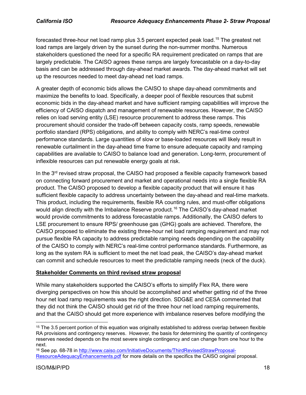forecasted three-hour net load ramp plus 3.5 percent expected peak load.<sup>[15](#page-17-0)</sup> The greatest net load ramps are largely driven by the sunset during the non-summer months. Numerous stakeholders questioned the need for a specific RA requirement predicated on ramps that are largely predictable. The CAISO agrees these ramps are largely forecastable on a day-to-day basis and can be addressed through day-ahead market awards. The day-ahead market will set up the resources needed to meet day-ahead net load ramps.

A greater depth of economic bids allows the CAISO to shape day-ahead commitments and maximize the benefits to load. Specifically, a deeper pool of flexible resources that submit economic bids in the day-ahead market and have sufficient ramping capabilities will improve the efficiency of CAISO dispatch and management of renewable resources. However, the CAISO relies on load serving entity (LSE) resource procurement to address these ramps. This procurement should consider the trade-off between capacity costs, ramp speeds, renewable portfolio standard (RPS) obligations, and ability to comply with NERC's real-time control performance standards. Large quantities of slow or base-loaded resources will likely result in renewable curtailment in the day-ahead time frame to ensure adequate capacity and ramping capabilities are available to CAISO to balance load and generation. Long-term, procurement of inflexible resources can put renewable energy goals at risk.

In the  $3<sup>rd</sup>$  revised straw proposal, the CAISO had proposed a flexible capacity framework based on connecting forward procurement and market and operational needs into a single flexible RA product. The CAISO proposed to develop a flexible capacity product that will ensure it has sufficient flexible capacity to address uncertainty between the day-ahead and real-time markets. This product, including the requirements, flexible RA counting rules, and must-offer obligations would align directly with the Imbalance Reserve product.<sup>[16](#page-17-1)</sup> The CAISO's day-ahead market would provide commitments to address forecastable ramps. Additionally, the CAISO defers to LSE procurement to ensure RPS/ greenhouse gas (GHG) goals are achieved. Therefore, the CAISO proposed to eliminate the existing three-hour net load ramping requirement and may not pursue flexible RA capacity to address predictable ramping needs depending on the capability of the CAISO to comply with NERC's real-time control performance standards. Furthermore, as long as the system RA is sufficient to meet the net load peak, the CAISO's day-ahead market can commit and schedule resources to meet the predictable ramping needs (neck of the duck).

#### **Stakeholder Comments on third revised straw proposal**

While many stakeholders supported the CAISO's efforts to simplify Flex RA, there were diverging perspectives on how this should be accomplished and whether getting rid of the three hour net load ramp requirements was the right direction. SDG&E and CESA commented that they did not think the CAISO should get rid of the three hour net load ramping requirements, and that the CAISO should get more experience with imbalance reserves before modifying the

<span id="page-17-0"></span><sup>&</sup>lt;sup>15</sup> The 3.5 percent portion of this equation was originally established to address overlap between flexible RA provisions and contingency reserves. However, the basis for determining the quantity of contingency reserves needed depends on the most severe single contingency and can change from one hour to the next.

<span id="page-17-1"></span><sup>16</sup> See pp. 68-78 in [http://www.caiso.com/InitiativeDocuments/ThirdRevisedStrawProposal-](http://www.caiso.com/InitiativeDocuments/ThirdRevisedStrawProposal-ResourceAdequacyEnhancements.pdf)[ResourceAdequacyEnhancements.pdf](http://www.caiso.com/InitiativeDocuments/ThirdRevisedStrawProposal-ResourceAdequacyEnhancements.pdf) for more details on the specifics the CAISO original proposal.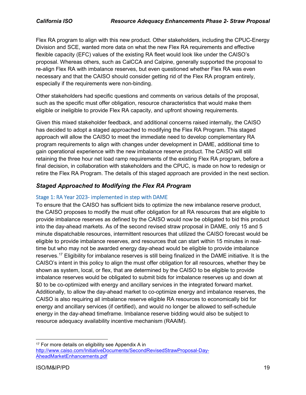Flex RA program to align with this new product. Other stakeholders, including the CPUC-Energy Division and SCE, wanted more data on what the new Flex RA requirements and effective flexible capacity (EFC) values of the existing RA fleet would look like under the CAISO's proposal. Whereas others, such as CalCCA and Calpine, generally supported the proposal to re-align Flex RA with imbalance reserves, but even questioned whether Flex RA was even necessary and that the CAISO should consider getting rid of the Flex RA program entirely, especially if the requirements were non-binding.

Other stakeholders had specific questions and comments on various details of the proposal, such as the specific must offer obligation, resource characteristics that would make them eligible or ineligible to provide Flex RA capacity, and upfront showing requirements.

Given this mixed stakeholder feedback, and additional concerns raised internally, the CAISO has decided to adopt a staged approached to modifying the Flex RA Program. This staged approach will allow the CAISO to meet the immediate need to develop complementary RA program requirements to align with changes under development in DAME, additional time to gain operational experience with the new imbalance reserve product. The CAISO will still retaining the three hour net load ramp requirements of the existing Flex RA program, before a final decision, in collaboration with stakeholders and the CPUC, is made on how to redesign or retire the Flex RA Program. The details of this staged approach are provided in the next section.

## *Staged Approached to Modifying the Flex RA Program*

#### Stage 1: RA Year 2023- implemented in step with DAME

To ensure that the CAISO has sufficient bids to optimize the new imbalance reserve product, the CAISO proposes to modify the must offer obligation for all RA resources that are eligible to provide imbalance reserves as defined by the CAISO would now be obligated to bid this product into the day-ahead markets. As of the second revised straw proposal in DAME, only 15 and 5 minute dispatchable resources, intermittent resources that utilized the CAISO forecast would be eligible to provide imbalance reserves, and resources that can start within 15 minutes in realtime but who may not be awarded energy day-ahead would be eligible to provide imbalance reserves. [17](#page-18-0) Eligibility for imbalance reserves is still being finalized in the DAME initiative. It is the CAISO's intent in this policy to align the must offer obligation for all resources, whether they be shown as system, local, or flex, that are determined by the CAISO to be eligible to provide imbalance reserves would be obligated to submit bids for imbalance reserves up and down at \$0 to be co-optimized with energy and ancillary services in the integrated forward market. Additionally, to allow the day-ahead market to co-optimize energy and imbalance reserves, the CAISO is also requiring all imbalance reserve eligible RA resources to economically bid for energy and ancillary services (if certified), and would no longer be allowed to self-schedule energy in the day-ahead timeframe. Imbalance reserve bidding would also be subject to resource adequacy availability incentive mechanism (RAAIM).

<span id="page-18-0"></span><sup>&</sup>lt;sup>17</sup> For more details on eligibility see Appendix A in [http://www.caiso.com/InitiativeDocuments/SecondRevisedStrawProposal-Day-](http://www.caiso.com/InitiativeDocuments/SecondRevisedStrawProposal-Day-AheadMarketEnhancements.pdf)[AheadMarketEnhancements.pdf](http://www.caiso.com/InitiativeDocuments/SecondRevisedStrawProposal-Day-AheadMarketEnhancements.pdf)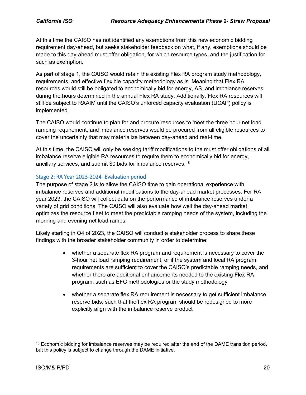At this time the CAISO has not identified any exemptions from this new economic bidding requirement day-ahead, but seeks stakeholder feedback on what, if any, exemptions should be made to this day-ahead must offer obligation, for which resource types, and the justification for such as exemption.

As part of stage 1, the CAISO would retain the existing Flex RA program study methodology, requirements, and effective flexible capacity methodology as is. Meaning that Flex RA resources would still be obligated to economically bid for energy, AS, and imbalance reserves during the hours determined in the annual Flex RA study. Additionally, Flex RA resources will still be subject to RAAIM until the CAISO's unforced capacity evaluation (UCAP) policy is implemented.

The CAISO would continue to plan for and procure resources to meet the three hour net load ramping requirement, and imbalance reserves would be procured from all eligible resources to cover the uncertainty that may materialize between day-ahead and real-time.

At this time, the CAISO will only be seeking tariff modifications to the must offer obligations of all imbalance reserve eligible RA resources to require them to economically bid for energy, ancillary services, and submit \$0 bids for imbalance reserves.<sup>[18](#page-19-0)</sup>

#### Stage 2: RA Year 2023-2024- Evaluation period

The purpose of stage 2 is to allow the CAISO time to gain operational experience with imbalance reserves and additional modifications to the day-ahead market processes. For RA year 2023, the CAISO will collect data on the performance of imbalance reserves under a variety of grid conditions. The CAISO will also evaluate how well the day-ahead market optimizes the resource fleet to meet the predictable ramping needs of the system, including the morning and evening net load ramps.

Likely starting in Q4 of 2023, the CAISO will conduct a stakeholder process to share these findings with the broader stakeholder community in order to determine:

- whether a separate flex RA program and requirement is necessary to cover the 3-hour net load ramping requirement, or if the system and local RA program requirements are sufficient to cover the CAISO's predictable ramping needs, and whether there are additional enhancements needed to the existing Flex RA program, such as EFC methodologies or the study methodology
- whether a separate flex RA requirement is necessary to get sufficient imbalance reserve bids, such that the flex RA program should be redesigned to more explicitly align with the imbalance reserve product

<span id="page-19-0"></span><sup>&</sup>lt;sup>18</sup> Economic bidding for imbalance reserves may be required after the end of the DAME transition period, but this policy is subject to change through the DAME initiative.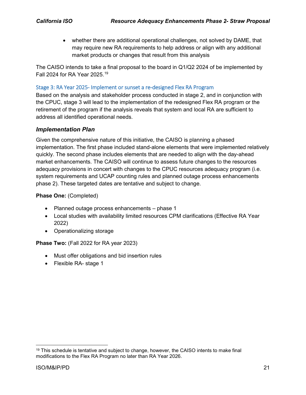• whether there are additional operational challenges, not solved by DAME, that may require new RA requirements to help address or align with any additional market products or changes that result from this analysis

The CAISO intends to take a final proposal to the board in Q1/Q2 2024 of be implemented by Fall 2024 for RA Year 2025.[19](#page-20-0)

#### Stage 3: RA Year 2025- Implement or sunset a re-designed Flex RA Program

Based on the analysis and stakeholder process conducted in stage 2, and in conjunction with the CPUC, stage 3 will lead to the implementation of the redesigned Flex RA program or the retirement of the program if the analysis reveals that system and local RA are sufficient to address all identified operational needs.

#### *Implementation Plan*

Given the comprehensive nature of this initiative, the CAISO is planning a phased implementation. The first phase included stand-alone elements that were implemented relatively quickly. The second phase includes elements that are needed to align with the day-ahead market enhancements. The CAISO will continue to assess future changes to the resources adequacy provisions in concert with changes to the CPUC resources adequacy program (i.e. system requirements and UCAP counting rules and planned outage process enhancements phase 2). These targeted dates are tentative and subject to change.

#### **Phase One:** (Completed)

- Planned outage process enhancements phase 1
- Local studies with availability limited resources CPM clarifications (Effective RA Year 2022)
- Operationalizing storage

#### **Phase Two:** (Fall 2022 for RA year 2023)

- Must offer obligations and bid insertion rules
- Flexible RA- stage 1

<span id="page-20-0"></span> $19$  This schedule is tentative and subject to change, however, the CAISO intents to make final modifications to the Flex RA Program no later than RA Year 2026.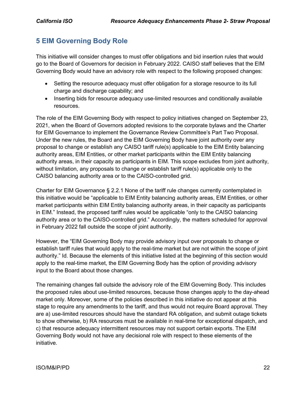# <span id="page-21-0"></span>**5 EIM Governing Body Role**

This initiative will consider changes to must offer obligations and bid insertion rules that would go to the Board of Governors for decision in February 2022. CAISO staff believes that the EIM Governing Body would have an advisory role with respect to the following proposed changes:

- Setting the resource adequacy must offer obligation for a storage resource to its full charge and discharge capability; and
- Inserting bids for resource adequacy use-limited resources and conditionally available resources.

The role of the EIM Governing Body with respect to policy initiatives changed on September 23, 2021, when the Board of Governors adopted revisions to the corporate bylaws and the Charter for EIM Governance to implement the Governance Review Committee's Part Two Proposal. Under the new rules, the Board and the EIM Governing Body have joint authority over any proposal to change or establish any CAISO tariff rule(s) applicable to the EIM Entity balancing authority areas, EIM Entities, or other market participants within the EIM Entity balancing authority areas, in their capacity as participants in EIM. This scope excludes from joint authority, without limitation, any proposals to change or establish tariff rule(s) applicable only to the CAISO balancing authority area or to the CAISO-controlled grid.

Charter for EIM Governance § 2.2.1 None of the tariff rule changes currently contemplated in this initiative would be "applicable to EIM Entity balancing authority areas, EIM Entities, or other market participants within EIM Entity balancing authority areas, in their capacity as participants in EIM." Instead, the proposed tariff rules would be applicable "only to the CAISO balancing authority area or to the CAISO-controlled grid." Accordingly, the matters scheduled for approval in February 2022 fall outside the scope of joint authority.

However, the "EIM Governing Body may provide advisory input over proposals to change or establish tariff rules that would apply to the real-time market but are not within the scope of joint authority." Id. Because the elements of this initiative listed at the beginning of this section would apply to the real-time market, the EIM Governing Body has the option of providing advisory input to the Board about those changes.

The remaining changes fall outside the advisory role of the EIM Governing Body. This includes the proposed rules about use-limited resources, because those changes apply to the day-ahead market only. Moreover, some of the policies described in this initiative do not appear at this stage to require any amendments to the tariff, and thus would not require Board approval. They are a) use-limited resources should have the standard RA obligation, and submit outage tickets to show otherwise, b) RA resources must be available in real-time for exceptional dispatch, and c) that resource adequacy intermittent resources may not support certain exports. The EIM Governing Body would not have any decisional role with respect to these elements of the initiative.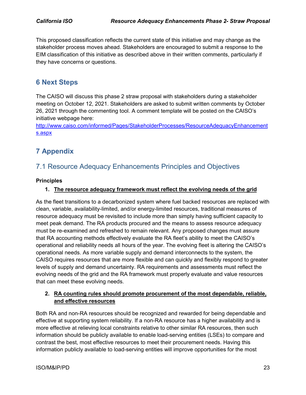This proposed classification reflects the current state of this initiative and may change as the stakeholder process moves ahead. Stakeholders are encouraged to submit a response to the EIM classification of this initiative as described above in their written comments, particularly if they have concerns or questions.

## <span id="page-22-0"></span>**6 Next Steps**

The CAISO will discuss this phase 2 straw proposal with stakeholders during a stakeholder meeting on October 12, 2021. Stakeholders are asked to submit written comments by October 26, 2021 through the commenting tool. A comment template will be posted on the CAISO's initiative webpage here:

[http://www.caiso.com/informed/Pages/StakeholderProcesses/ResourceAdequacyEnhancement](http://www.caiso.com/informed/Pages/StakeholderProcesses/ResourceAdequacyEnhancements.aspx) [s.aspx](http://www.caiso.com/informed/Pages/StakeholderProcesses/ResourceAdequacyEnhancements.aspx)

# <span id="page-22-1"></span>**7 Appendix**

# <span id="page-22-2"></span>7.1 Resource Adequacy Enhancements Principles and Objectives

#### **Principles**

#### **1. The resource adequacy framework must reflect the evolving needs of the grid**

As the fleet transitions to a decarbonized system where fuel backed resources are replaced with clean, variable, availability-limited, and/or energy-limited resources, traditional measures of resource adequacy must be revisited to include more than simply having sufficient capacity to meet peak demand. The RA products procured and the means to assess resource adequacy must be re-examined and refreshed to remain relevant. Any proposed changes must assure that RA accounting methods effectively evaluate the RA fleet's ability to meet the CAISO's operational and reliability needs all hours of the year. The evolving fleet is altering the CAISO's operational needs. As more variable supply and demand interconnects to the system, the CAISO requires resources that are more flexible and can quickly and flexibly respond to greater levels of supply and demand uncertainty. RA requirements and assessments must reflect the evolving needs of the grid and the RA framework must properly evaluate and value resources that can meet these evolving needs.

#### **2. RA counting rules should promote procurement of the most dependable, reliable, and effective resources**

Both RA and non-RA resources should be recognized and rewarded for being dependable and effective at supporting system reliability. If a non-RA resource has a higher availability and is more effective at relieving local constraints relative to other similar RA resources, then such information should be publicly available to enable load-serving entities (LSEs) to compare and contrast the best, most effective resources to meet their procurement needs. Having this information publicly available to load-serving entities will improve opportunities for the most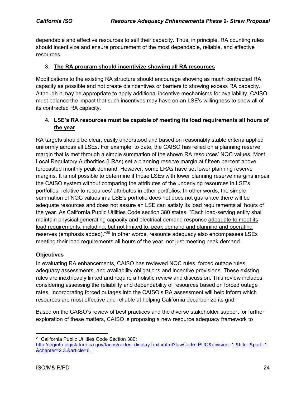dependable and effective resources to sell their capacity. Thus, in principle, RA counting rules should incentivize and ensure procurement of the most dependable, reliable, and effective resources.

#### **3. The RA program should incentivize showing all RA resources**

Modifications to the existing RA structure should encourage showing as much contracted RA capacity as possible and not create disincentives or barriers to showing excess RA capacity. Although it may be appropriate to apply additional incentive mechanisms for availability, CAISO must balance the impact that such incentives may have on an LSE's willingness to show all of its contracted RA capacity.

#### **4. LSE's RA resources must be capable of meeting its load requirements all hours of the year**

RA targets should be clear, easily understood and based on reasonably stable criteria applied uniformly across all LSEs. For example, to date, the CAISO has relied on a planning reserve margin that is met through a simple summation of the shown RA resources' NQC values. Most Local Regulatory Authorities (LRAs) set a planning reserve margin at fifteen percent above forecasted monthly peak demand. However, some LRAs have set lower planning reserve margins. It is not possible to determine if those LSEs with lower planning reserve margins impair the CAISO system without comparing the attributes of the underlying resources in LSE's portfolios, relative to resources' attributes in other portfolios. In other words, the simple summation of NQC values in a LSE's portfolio does not does not guarantee there will be adequate resources and does not assure an LSE can satisfy its load requirements all hours of the year. As California Public Utilities Code section 380 states, "Each load-serving entity shall maintain physical generating capacity and electrical demand response adequate to meet its load requirements, including, but not limited to, peak demand and planning and operating reserves (emphasis added)."[20](#page-23-0) In other words, resource adequacy also encompasses LSEs meeting their load requirements all hours of the year, not just meeting peak demand.

#### **Objectives**

In evaluating RA enhancements, CAISO has reviewed NQC rules, forced outage rules, adequacy assessments, and availability obligations and incentive provisions. These existing rules are inextricably linked and require a holistic review and discussion. This review includes considering assessing the reliability and dependability of resources based on forced outage rates. Incorporating forced outages into the CAISO's RA assessment will help inform which resources are most effective and reliable at helping California decarbonize its grid.

Based on the CAISO's review of best practices and the diverse stakeholder support for further exploration of these matters, CAISO is proposing a new resource adequacy framework to

<span id="page-23-0"></span> <sup>20</sup> California Public Utilities Code Section 380:

[http://leginfo.legislature.ca.gov/faces/codes\\_displayText.xhtml?lawCode=PUC&division=1.&title=&part=1.](http://leginfo.legislature.ca.gov/faces/codes_displayText.xhtml?lawCode=PUC&division=1.&title=&part=1.&chapter=2.3.&article=6.) [&chapter=2.3.&article=6.](http://leginfo.legislature.ca.gov/faces/codes_displayText.xhtml?lawCode=PUC&division=1.&title=&part=1.&chapter=2.3.&article=6.)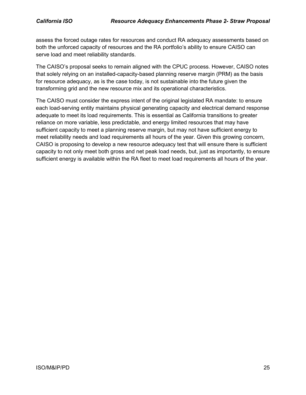assess the forced outage rates for resources and conduct RA adequacy assessments based on both the unforced capacity of resources and the RA portfolio's ability to ensure CAISO can serve load and meet reliability standards.

The CAISO's proposal seeks to remain aligned with the CPUC process. However, CAISO notes that solely relying on an installed-capacity-based planning reserve margin (PRM) as the basis for resource adequacy, as is the case today, is not sustainable into the future given the transforming grid and the new resource mix and its operational characteristics.

The CAISO must consider the express intent of the original legislated RA mandate: to ensure each load-serving entity maintains physical generating capacity and electrical demand response adequate to meet its load requirements. This is essential as California transitions to greater reliance on more variable, less predictable, and energy limited resources that may have sufficient capacity to meet a planning reserve margin, but may not have sufficient energy to meet reliability needs and load requirements all hours of the year. Given this growing concern, CAISO is proposing to develop a new resource adequacy test that will ensure there is sufficient capacity to not only meet both gross and net peak load needs, but, just as importantly, to ensure sufficient energy is available within the RA fleet to meet load requirements all hours of the year.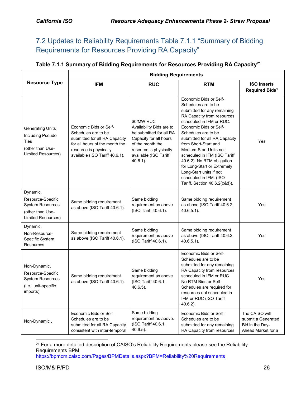# <span id="page-25-0"></span>7.2 Updates to Reliability Requirements Table 7.1.1 "Summary of Bidding Requirements for Resources Providing RA Capacity"

#### **Table 7.1.1 Summary of Bidding Requirements for Resources Providing RA Capacity[21](#page-25-1)**

|                                                                                                    | <b>Bidding Requirements</b>                                                                                                                                                  |                                                                                                                                                                                   |                                                                                                                                                                                                                                                                                                                                                                                                                                                               |                                                                               |  |
|----------------------------------------------------------------------------------------------------|------------------------------------------------------------------------------------------------------------------------------------------------------------------------------|-----------------------------------------------------------------------------------------------------------------------------------------------------------------------------------|---------------------------------------------------------------------------------------------------------------------------------------------------------------------------------------------------------------------------------------------------------------------------------------------------------------------------------------------------------------------------------------------------------------------------------------------------------------|-------------------------------------------------------------------------------|--|
| <b>Resource Type</b>                                                                               | <b>IFM</b>                                                                                                                                                                   | <b>RUC</b>                                                                                                                                                                        | <b>RTM</b>                                                                                                                                                                                                                                                                                                                                                                                                                                                    | <b>ISO Inserts</b><br>Required Bids <sup>1</sup>                              |  |
| <b>Generating Units</b><br>Including Pseudo<br>Ties<br>(other than Use-<br>Limited Resources)      | Economic Bids or Self-<br>Schedules are to be<br>submitted for all RA Capacity<br>for all hours of the month the<br>resource is physically<br>available (ISO Tariff 40.6.1). | \$0/MW RUC<br>Availability Bids are to<br>be submitted for all RA<br>Capacity for all hours<br>of the month the<br>resource is physically<br>available (ISO Tariff<br>$40.6.1$ ). | Economic Bids or Self-<br>Schedules are to be<br>submitted for any remaining<br>RA Capacity from resources<br>scheduled in IFM or RUC.<br>Economic Bids or Self-<br>Schedules are to be<br>submitted for all RA Capacity<br>from Short-Start and<br>Medium-Start Units not<br>scheduled in IFM (ISO Tariff<br>40.6.2). No RTM obligation<br>for Long-Start or Extremely<br>Long-Start units if not<br>scheduled in IFM. (ISO<br>Tariff, Section 40.6.2(c&d)). | Yes                                                                           |  |
| Dynamic,<br>Resource-Specific<br><b>System Resources</b><br>(other than Use-<br>Limited Resources) | Same bidding requirement<br>as above (ISO Tariff 40.6.1).                                                                                                                    | Same bidding<br>requirement as above<br>(ISO Tariff 40.6.1).                                                                                                                      | Same bidding requirement<br>as above (ISO Tariff 40.6.2,<br>$40.6.5.1$ ).                                                                                                                                                                                                                                                                                                                                                                                     | Yes                                                                           |  |
| Dynamic,<br>Non-Resource-<br>Specific System<br><b>Resources</b>                                   | Same bidding requirement<br>as above (ISO Tariff 40.6.1).                                                                                                                    | Same bidding<br>requirement as above<br>(ISO Tariff 40.6.1).                                                                                                                      | Same bidding requirement<br>as above (ISO Tariff 40.6.2,<br>$40.6.5.1$ ).                                                                                                                                                                                                                                                                                                                                                                                     | Yes                                                                           |  |
| Non-Dynamic,<br>Resource-Specific<br><b>System Resources</b><br>(i.e. unit-specific<br>imports)    | Same bidding requirement<br>as above (ISO Tariff 40.6.1).                                                                                                                    | Same bidding<br>requirement as above<br>(ISO Tariff 40.6.1,<br>$40.6.5$ ).                                                                                                        | Economic Bids or Self-<br>Schedules are to be<br>submitted for any remaining<br>RA Capacity from resources<br>scheduled in IFM or RUC.<br>No RTM Bids or Self-<br>Schedules are required for<br>resources not scheduled in<br>IFM or RUC (ISO Tariff<br>$40.6.2$ ).                                                                                                                                                                                           | Yes                                                                           |  |
| Non-Dynamic,                                                                                       | Economic Bids or Self-<br>Schedules are to be<br>submitted for all RA Capacity<br>consistent with inter-temporal                                                             | Same bidding<br>requirement as above.<br>(ISO Tariff 40.6.1,<br>$40.6.5$ ).                                                                                                       | Economic Bids or Self-<br>Schedules are to be<br>submitted for any remaining<br>RA Capacity from resources                                                                                                                                                                                                                                                                                                                                                    | The CAISO will<br>submit a Generated<br>Bid in the Day-<br>Ahead Market for a |  |

<span id="page-25-1"></span><sup>21</sup> For a more detailed description of CAISO's Reliability Requirements please see the Reliability Requirements BPM:

<https://bpmcm.caiso.com/Pages/BPMDetails.aspx?BPM=Reliability%20Requirements>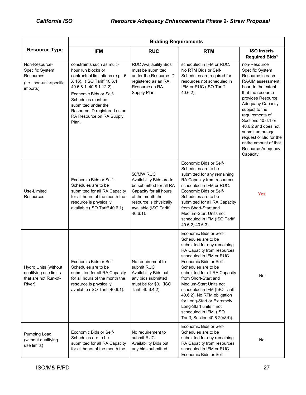|                                                                                             | <b>Bidding Requirements</b>                                                                                                                                                                                                                                                             |                                                                                                                                                                                   |                                                                                                                                                                                                                                                                                                                                                                                                                                                               |                                                                                                                                                                                                                                                                                                                                                                |  |
|---------------------------------------------------------------------------------------------|-----------------------------------------------------------------------------------------------------------------------------------------------------------------------------------------------------------------------------------------------------------------------------------------|-----------------------------------------------------------------------------------------------------------------------------------------------------------------------------------|---------------------------------------------------------------------------------------------------------------------------------------------------------------------------------------------------------------------------------------------------------------------------------------------------------------------------------------------------------------------------------------------------------------------------------------------------------------|----------------------------------------------------------------------------------------------------------------------------------------------------------------------------------------------------------------------------------------------------------------------------------------------------------------------------------------------------------------|--|
| <b>Resource Type</b>                                                                        | <b>IFM</b>                                                                                                                                                                                                                                                                              | <b>RUC</b>                                                                                                                                                                        | <b>RTM</b>                                                                                                                                                                                                                                                                                                                                                                                                                                                    | <b>ISO Inserts</b><br>Required Bids <sup>1</sup>                                                                                                                                                                                                                                                                                                               |  |
| Non-Resource-<br>Specific System<br><b>Resources</b><br>(i.e. non-unit-specific<br>imports) | constraints such as multi-<br>hour run blocks or<br>contractual limitations (e.g. 6<br>X 16). (ISO Tariff 40.6.1,<br>40.6.8.1, 40.8.1.12.2).<br>Economic Bids or Self-<br>Schedules must be<br>submitted under the<br>Resource ID registered as an<br>RA Resource on RA Supply<br>Plan. | <b>RUC Availability Bids</b><br>must be submitted<br>under the Resource ID<br>registered as an RA<br>Resource on RA<br>Supply Plan.                                               | scheduled in IFM or RUC.<br>No RTM Bids or Self-<br>Schedules are required for<br>resources not scheduled in<br>IFM or RUC (ISO Tariff<br>$40.6.2$ ).                                                                                                                                                                                                                                                                                                         | non-Resource<br>Specific System<br>Resource in each<br>RAAIM assessment<br>hour, to the extent<br>that the resource<br>provides Resource<br><b>Adequacy Capacity</b><br>subject to the<br>requirements of<br>Sections 40.6.1 or<br>40.6.2 and does not<br>submit an outage<br>request or Bid for the<br>entire amount of that<br>Resource Adequacy<br>Capacity |  |
| Use-Limited<br>Resources                                                                    | Economic Bids or Self-<br>Schedules are to be<br>submitted for all RA Capacity<br>for all hours of the month the<br>resource is physically<br>available (ISO Tariff 40.6.1).                                                                                                            | \$0/MW RUC<br>Availability Bids are to<br>be submitted for all RA<br>Capacity for all hours<br>of the month the<br>resource is physically<br>available (ISO Tariff<br>$40.6.1$ ). | Economic Bids or Self-<br>Schedules are to be<br>submitted for any remaining<br>RA Capacity from resources<br>scheduled in IFM or RUC.<br>Economic Bids or Self-<br>Schedules are to be<br>submitted for all RA Capacity<br>from Short-Start and<br>Medium-Start Units not<br>scheduled in IFM (ISO Tariff<br>40.6.2, 40.6.3).                                                                                                                                | Yes                                                                                                                                                                                                                                                                                                                                                            |  |
| Hydro Units (without<br>qualifying use limits<br>that are not Run-of-<br>River)             | Economic Bids or Self-<br>Schedules are to be<br>submitted for all RA Capacity<br>for all hours of the month the<br>resource is physically<br>available (ISO Tariff 40.6.1).                                                                                                            | No requirement to<br>submit RUC<br>Availability Bids but<br>any bids submitted<br>must be for \$0. (ISO<br>Tariff 40.6.4.2).                                                      | Economic Bids or Self-<br>Schedules are to be<br>submitted for any remaining<br>RA Capacity from resources<br>scheduled in IFM or RUC.<br>Economic Bids or Self-<br>Schedules are to be<br>submitted for all RA Capacity<br>from Short-Start and<br>Medium-Start Units not<br>scheduled in IFM (ISO Tariff<br>40.6.2). No RTM obligation<br>for Long-Start or Extremely<br>Long-Start units if not<br>scheduled in IFM. (ISO<br>Tariff, Section 40.6.2(c&d)). | No                                                                                                                                                                                                                                                                                                                                                             |  |
| Pumping Load<br>(without qualifying<br>use limits)                                          | Economic Bids or Self-<br>Schedules are to be<br>submitted for all RA Capacity<br>for all hours of the month the                                                                                                                                                                        | No requirement to<br>submit RUC<br>Availability Bids but<br>any bids submitted                                                                                                    | Economic Bids or Self-<br>Schedules are to be<br>submitted for any remaining<br>RA Capacity from resources<br>scheduled in IFM or RUC.<br>Economic Bids or Self-                                                                                                                                                                                                                                                                                              | No                                                                                                                                                                                                                                                                                                                                                             |  |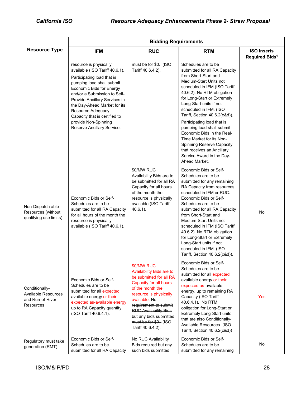|                                                                               | <b>Bidding Requirements</b>                                                                                                                                                                                                                                                                                                                                         |                                                                                                                                                                                                                                                                                             |                                                                                                                                                                                                                                                                                                                                                                                                                                                                                                                                |                                                  |  |
|-------------------------------------------------------------------------------|---------------------------------------------------------------------------------------------------------------------------------------------------------------------------------------------------------------------------------------------------------------------------------------------------------------------------------------------------------------------|---------------------------------------------------------------------------------------------------------------------------------------------------------------------------------------------------------------------------------------------------------------------------------------------|--------------------------------------------------------------------------------------------------------------------------------------------------------------------------------------------------------------------------------------------------------------------------------------------------------------------------------------------------------------------------------------------------------------------------------------------------------------------------------------------------------------------------------|--------------------------------------------------|--|
| <b>Resource Type</b>                                                          | <b>IFM</b>                                                                                                                                                                                                                                                                                                                                                          | <b>RUC</b>                                                                                                                                                                                                                                                                                  | <b>RTM</b>                                                                                                                                                                                                                                                                                                                                                                                                                                                                                                                     | <b>ISO Inserts</b><br>Required Bids <sup>1</sup> |  |
|                                                                               | resource is physically<br>available (ISO Tariff 40.6.1).<br>Participating load that is<br>pumping load shall submit<br><b>Economic Bids for Energy</b><br>and/or a Submission to Self-<br>Provide Ancillary Services in<br>the Day-Ahead Market for its<br>Resource Adequacy<br>Capacity that is certified to<br>provide Non-Spinning<br>Reserve Ancillary Service. | must be for \$0. (ISO<br>Tariff 40.6.4.2).                                                                                                                                                                                                                                                  | Schedules are to be<br>submitted for all RA Capacity<br>from Short-Start and<br>Medium-Start Units not<br>scheduled in IFM (ISO Tariff<br>40.6.2). No RTM obligation<br>for Long-Start or Extremely<br>Long-Start units if not<br>scheduled in IFM. (ISO<br>Tariff, Section 40.6.2(c&d)).<br>Participating load that is<br>pumping load shall submit<br>Economic Bids in the Real-<br>Time Market for its Non-<br><b>Spinning Reserve Capacity</b><br>that receives an Ancillary<br>Service Award in the Day-<br>Ahead Market. |                                                  |  |
| Non-Dispatch able<br>Resources (without<br>qualifying use limits)             | Economic Bids or Self-<br>Schedules are to be<br>submitted for all RA Capacity<br>for all hours of the month the<br>resource is physically<br>available (ISO Tariff 40.6.1).                                                                                                                                                                                        | \$0/MW RUC<br>Availability Bids are to<br>be submitted for all RA<br>Capacity for all hours<br>of the month the<br>resource is physically<br>available (ISO Tariff<br>$40.6.1$ ).                                                                                                           | Economic Bids or Self-<br>Schedules are to be<br>submitted for any remaining<br>RA Capacity from resources<br>scheduled in IFM or RUC.<br>Economic Bids or Self-<br>Schedules are to be<br>submitted for all RA Capacity<br>from Short-Start and<br>Medium-Start Units not<br>scheduled in IFM (ISO Tariff<br>40.6.2). No RTM obligation<br>for Long-Start or Extremely<br>Long-Start units if not<br>scheduled in IFM. (ISO<br>Tariff, Section 40.6.2(c&d)).                                                                  | No                                               |  |
| Conditionally-<br><b>Available Resources</b><br>and Run-of-River<br>Resources | Economic Bids or Self-<br>Schedules are to be<br>submitted for all expected<br>available energy or their<br>expected as-available energy<br>up to RA Capacity quantity<br>(ISO Tariff 40.6.4.1).                                                                                                                                                                    | \$0/MW RUC<br>Availability Bids are to<br>be submitted for all RA<br>Capacity for all hours<br>of the month the<br>resource is physically<br>available. No<br>requirement to submit<br><b>RUC Availability Bids</b><br>but any bids submitted<br>must be for \$0. (ISO<br>Tariff 40.6.4.2). | Economic Bids or Self-<br>Schedules are to be<br>submitted for all expected<br>available energy or their<br>expected as-available<br>energy, up to remaining RA<br>Capacity (ISO Tariff<br>40.6.4.1). No RTM<br>obligation for Long-Start or<br><b>Extremely Long-Start units</b><br>that are also Conditionally-<br>Available Resources. (ISO<br>Tariff, Section 40.6.2(c&d))                                                                                                                                                 | Yes                                              |  |
| Regulatory must take<br>generation (RMT)                                      | Economic Bids or Self-<br>Schedules are to be<br>submitted for all RA Capacity                                                                                                                                                                                                                                                                                      | No RUC Availability<br>Bids required but any<br>such bids submitted                                                                                                                                                                                                                         | Economic Bids or Self-<br>Schedules are to be<br>submitted for any remaining                                                                                                                                                                                                                                                                                                                                                                                                                                                   | No                                               |  |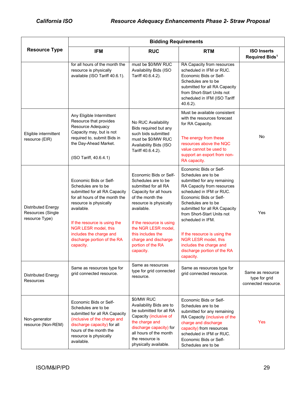|                                                                  | <b>Bidding Requirements</b>                                                                                                                                                                                                                                                             |                                                                                                                                                                                                                                                                                               |                                                                                                                                                                                                                                                                                                                                                                                                            |                                                          |  |
|------------------------------------------------------------------|-----------------------------------------------------------------------------------------------------------------------------------------------------------------------------------------------------------------------------------------------------------------------------------------|-----------------------------------------------------------------------------------------------------------------------------------------------------------------------------------------------------------------------------------------------------------------------------------------------|------------------------------------------------------------------------------------------------------------------------------------------------------------------------------------------------------------------------------------------------------------------------------------------------------------------------------------------------------------------------------------------------------------|----------------------------------------------------------|--|
| <b>Resource Type</b>                                             | <b>IFM</b>                                                                                                                                                                                                                                                                              | <b>RUC</b>                                                                                                                                                                                                                                                                                    | <b>RTM</b>                                                                                                                                                                                                                                                                                                                                                                                                 | <b>ISO Inserts</b><br>Required Bids <sup>1</sup>         |  |
|                                                                  | for all hours of the month the<br>resource is physically<br>available (ISO Tariff 40.6.1).                                                                                                                                                                                              | must be \$0/MW RUC<br>Availability Bids (ISO<br>Tariff 40.6.4.2).                                                                                                                                                                                                                             | RA Capacity from resources<br>scheduled in IFM or RUC.<br>Economic Bids or Self-<br>Schedules are to be<br>submitted for all RA Capacity<br>from Short-Start Units not<br>scheduled in IFM (ISO Tariff<br>$40.6.2$ ).                                                                                                                                                                                      |                                                          |  |
| Eligible intermittent<br>resource (EIR)                          | Any Eligible Intermittent<br>Resource that provides<br>Resource Adequacy<br>Capacity may, but is not<br>required to, submit Bids in<br>the Day-Ahead Market.<br>(ISO Tariff, 40.6.4.1)                                                                                                  | No RUC Availability<br>Bids required but any<br>such bids submitted<br>must be \$0/MW RUC<br>Availability Bids (ISO<br>Tariff 40.6.4.2).                                                                                                                                                      | Must be available consistent<br>with the resources forecast<br>for RA Capacity.<br>The energy from these<br>resources above the NQC<br>value cannot be used to<br>support an export from non-<br>RA capacity.                                                                                                                                                                                              | No                                                       |  |
| <b>Distributed Energy</b><br>Resources (Single<br>resource Type) | Economic Bids or Self-<br>Schedules are to be<br>submitted for all RA Capacity<br>for all hours of the month the<br>resource is physically<br>available.<br>If the resource is using the<br>NGR LESR model, this<br>includes the charge and<br>discharge portion of the RA<br>capacity. | Economic Bids or Self-<br>Schedules are to be<br>submitted for all RA<br>Capacity for all hours<br>of the month the<br>resource is physically<br>available.<br>If the resource is using<br>the NGR LESR model,<br>this includes the<br>charge and discharge<br>portion of the RA<br>capacity. | Economic Bids or Self-<br>Schedules are to be<br>submitted for any remaining<br>RA Capacity from resources<br>scheduled in IFM or RUC.<br>Economic Bids or Self-<br>Schedules are to be<br>submitted for all RA Capacity<br>from Short-Start Units not<br>scheduled in IFM.<br>If the resource is using the<br>NGR LESR model, this<br>includes the charge and<br>discharge portion of the RA<br>capacity. | Yes                                                      |  |
| <b>Distributed Energy</b><br><b>Resources</b>                    | Same as resources type for<br>grid connected resource.                                                                                                                                                                                                                                  | Same as resources<br>type for grid connected<br>resource.                                                                                                                                                                                                                                     | Same as resources type for<br>grid connected resource.                                                                                                                                                                                                                                                                                                                                                     | Same as resource<br>type for grid<br>connected resource. |  |
| Non-generator<br>resource (Non-REM)                              | Economic Bids or Self-<br>Schedules are to be<br>submitted for all RA Capacity<br>(inclusive of the charge and<br>discharge capacity) for all<br>hours of the month the<br>resource is physically<br>available.                                                                         | \$0/MW RUC<br>Availability Bids are to<br>be submitted for all RA<br>Capacity (inclusive of<br>the charge and<br>discharge capacity) for<br>all hours of the month<br>the resource is<br>physically available.                                                                                | Economic Bids or Self-<br>Schedules are to be<br>submitted for any remaining<br>RA Capacity (inclusive of the<br>charge and discharge<br>capacity) from resources<br>scheduled in IFM or RUC.<br>Economic Bids or Self-<br>Schedules are to be                                                                                                                                                             | Yes                                                      |  |